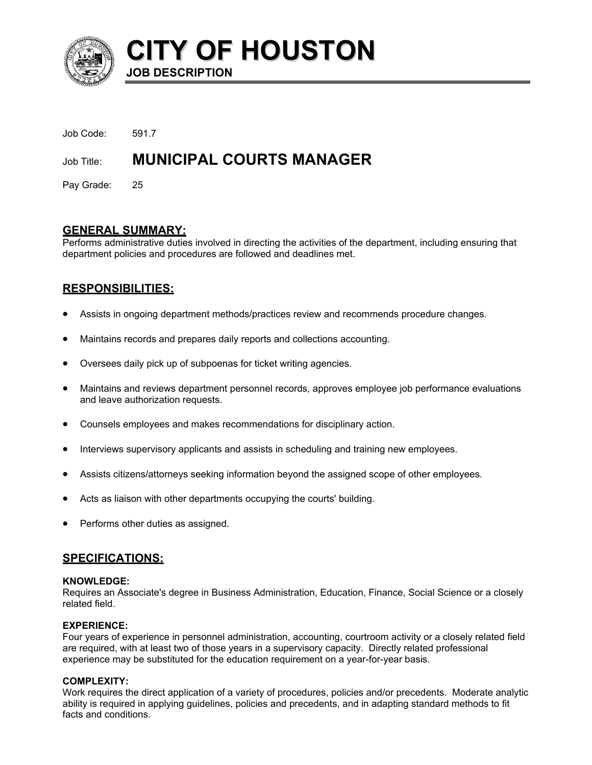

**CITY OF HOUSTON JOB DESCRIPTION** 

| Job Code:  | 591.7                           |
|------------|---------------------------------|
| Job Title: | <b>MUNICIPAL COURTS MANAGER</b> |

Pay Grade: 25

# **GENERAL SUMMARY:**

Performs administrative duties involved in directing the activities of the department, including ensuring that department policies and procedures are followed and deadlines met.

# **RESPONSIBILITIES:**

- Assists in ongoing department methods/practices review and recommends procedure changes.
- Maintains records and prepares daily reports and collections accounting.
- Oversees daily pick up of subpoenas for ticket writing agencies.
- Maintains and reviews department personnel records, approves employee job performance evaluations and leave authorization requests.
- Counsels employees and makes recommendations for disciplinary action.
- Interviews supervisory applicants and assists in scheduling and training new employees.
- Assists citizens/attorneys seeking information beyond the assigned scope of other employees.
- Acts as liaison with other departments occupying the courts' building.
- Performs other duties as assigned.

## **SPECIFICATIONS:**

#### **KNOWLEDGE:**

Requires an Associate's degree in Business Administration, Education, Finance, Social Science or a closely related field.

#### **EXPERIENCE:**

Four years of experience in personnel administration, accounting, courtroom activity or a closely related field are required, with at least two of those years in a supervisory capacity. Directly related professional experience may be substituted for the education requirement on a year-for-year basis.

#### **COMPLEXITY:**

Work requires the direct application of a variety of procedures, policies and/or precedents. Moderate analytic ability is required in applying guidelines, policies and precedents, and in adapting standard methods to fit facts and conditions.